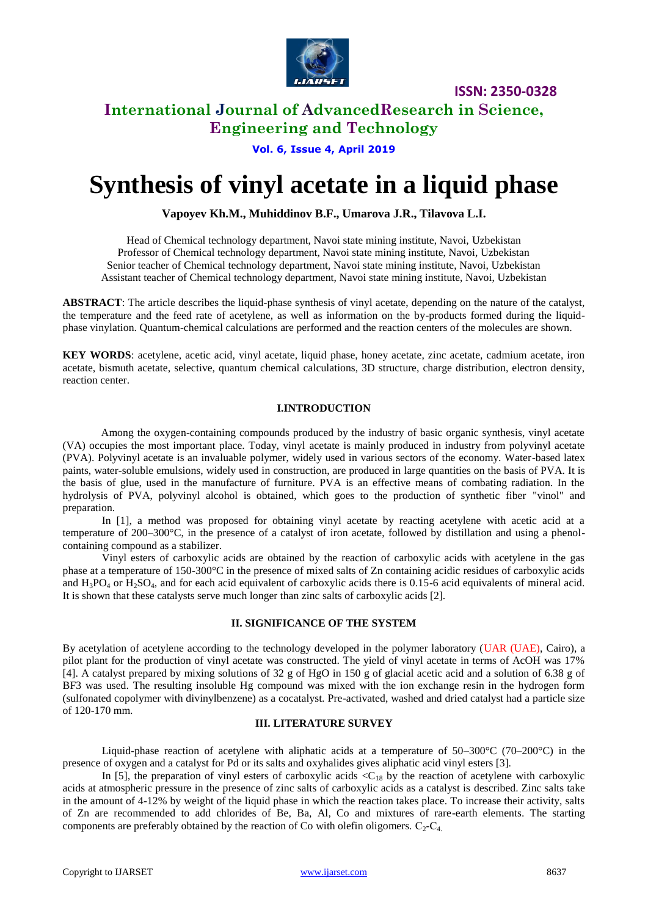

# **International Journal of AdvancedResearch in Science, Engineering and Technology**

**Vol. 6, Issue 4, April 2019**

# **Synthesis of vinyl acetate in a liquid phase**

## **Vapoyev Kh.M., Muhiddinov B.F., Umarova J.R., Tilavova L.I.**

Head of Chemical technology department, Navoi state mining institute, Navoi, Uzbekistan Professor of Chemical technology department, Navoi state mining institute, Navoi, Uzbekistan Senior teacher of Chemical technology department, Navoi state mining institute, Navoi, Uzbekistan Assistant teacher of Chemical technology department, Navoi state mining institute, Navoi, Uzbekistan

**ABSTRACT**: The article describes the liquid-phase synthesis of vinyl acetate, depending on the nature of the catalyst, the temperature and the feed rate of acetylene, as well as information on the by-products formed during the liquidphase vinylation. Quantum-chemical calculations are performed and the reaction centers of the molecules are shown.

**KEY WORDS**: acetylene, acetic acid, vinyl acetate, liquid phase, honey acetate, zinc acetate, cadmium acetate, iron acetate, bismuth acetate, selective, quantum chemical calculations, 3D structure, charge distribution, electron density, reaction center.

### **I.INTRODUCTION**

Among the oxygen-containing compounds produced by the industry of basic organic synthesis, vinyl acetate (VA) occupies the most important place. Today, vinyl acetate is mainly produced in industry from polyvinyl acetate (PVA). Polyvinyl acetate is an invaluable polymer, widely used in various sectors of the economy. Water-based latex paints, water-soluble emulsions, widely used in construction, are produced in large quantities on the basis of PVA. It is the basis of glue, used in the manufacture of furniture. PVA is an effective means of combating radiation. In the hydrolysis of PVA, polyvinyl alcohol is obtained, which goes to the production of synthetic fiber "vinol" and preparation.

In [1], a method was proposed for obtaining vinyl acetate by reacting acetylene with acetic acid at a temperature of 200–300°C, in the presence of a catalyst of iron acetate, followed by distillation and using a phenolcontaining compound as a stabilizer.

Vinyl esters of carboxylic acids are obtained by the reaction of carboxylic acids with acetylene in the gas phase at a temperature of 150-300°C in the presence of mixed salts of Zn containing acidic residues of carboxylic acids and  $H_3PO_4$  or  $H_3SO_4$ , and for each acid equivalent of carboxylic acids there is 0.15-6 acid equivalents of mineral acid. It is shown that these catalysts serve much longer than zinc salts of carboxylic acids [2].

#### **II. SIGNIFICANCE OF THE SYSTEM**

By acetylation of acetylene according to the technology developed in the polymer laboratory (UAR (UAE), Cairo), a pilot plant for the production of vinyl acetate was constructed. The yield of vinyl acetate in terms of AcOH was 17% [4]. A catalyst prepared by mixing solutions of 32 g of HgO in 150 g of glacial acetic acid and a solution of 6.38 g of BF3 was used. The resulting insoluble Hg compound was mixed with the ion exchange resin in the hydrogen form (sulfonated copolymer with divinylbenzene) as a cocatalyst. Pre-activated, washed and dried catalyst had a particle size of 120-170 mm.

#### **III. LITERATURE SURVEY**

Liquid-phase reaction of acetylene with aliphatic acids at a temperature of  $50-300^{\circ}$ C (70–200°C) in the presence of oxygen and a catalyst for Pd or its salts and oxyhalides gives aliphatic acid vinyl esters [3].

In [5], the preparation of vinyl esters of carboxylic acids  $\langle C_{18}$  by the reaction of acetylene with carboxylic acids at atmospheric pressure in the presence of zinc salts of carboxylic acids as a catalyst is described. Zinc salts take in the amount of 4-12% by weight of the liquid phase in which the reaction takes place. To increase their activity, salts of Zn are recommended to add chlorides of Be, Ba, Al, Co and mixtures of rare-earth elements. The starting components are preferably obtained by the reaction of Co with olefin oligomers.  $C_2-C_4$ .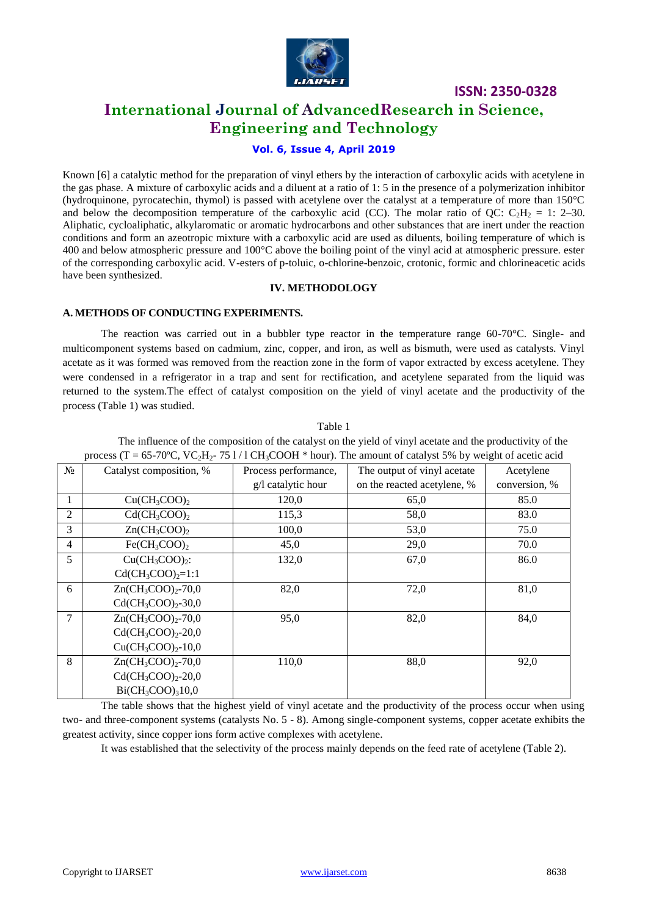

# **International Journal of AdvancedResearch in Science, Engineering and Technology**

# **Vol. 6, Issue 4, April 2019**

Known [6] a catalytic method for the preparation of vinyl ethers by the interaction of carboxylic acids with acetylene in the gas phase. A mixture of carboxylic acids and a diluent at a ratio of 1: 5 in the presence of a polymerization inhibitor (hydroquinone, pyrocatechin, thymol) is passed with acetylene over the catalyst at a temperature of more than 150°C and below the decomposition temperature of the carboxylic acid (CC). The molar ratio of QC:  $C_2H_2 = 1$ : 2–30. Aliphatic, cycloaliphatic, alkylaromatic or aromatic hydrocarbons and other substances that are inert under the reaction conditions and form an azeotropic mixture with a carboxylic acid are used as diluents, boiling temperature of which is 400 and below atmospheric pressure and 100°C above the boiling point of the vinyl acid at atmospheric pressure. ester of the corresponding carboxylic acid. V-esters of p-toluic, o-chlorine-benzoic, crotonic, formic and chlorineacetic acids have been synthesized.

### **IV. METHODOLOGY**

### **A. METHODS OF CONDUCTING EXPERIMENTS.**

The reaction was carried out in a bubbler type reactor in the temperature range 60-70°C. Single- and multicomponent systems based on cadmium, zinc, copper, and iron, as well as bismuth, were used as catalysts. Vinyl acetate as it was formed was removed from the reaction zone in the form of vapor extracted by excess acetylene. They were condensed in a refrigerator in a trap and sent for rectification, and acetylene separated from the liquid was returned to the system.The effect of catalyst composition on the yield of vinyl acetate and the productivity of the process (Table 1) was studied.

|                | process (T = 65-70°C, VC <sub>2</sub> H <sub>2</sub> -75 1/1 CH <sub>3</sub> COOH * hour). The amount of catalyst 5% by weight of acetic acid |                      |                             |               |  |  |  |
|----------------|-----------------------------------------------------------------------------------------------------------------------------------------------|----------------------|-----------------------------|---------------|--|--|--|
| $N_2$          | Catalyst composition, %                                                                                                                       | Process performance, | The output of vinyl acetate | Acetylene     |  |  |  |
|                |                                                                                                                                               | g/l catalytic hour   | on the reacted acetylene, % | conversion, % |  |  |  |
| 1              | $Cu(CH_3COO)_2$                                                                                                                               | 120,0                | 65,0                        | 85.0          |  |  |  |
| 2              | $Cd(CH_3COO)$                                                                                                                                 | 115,3                | 58,0                        | 83.0          |  |  |  |
| 3              | $Zn(CH_3COO)_2$                                                                                                                               | 100,0                | 53,0                        | 75.0          |  |  |  |
| $\overline{4}$ | $Fe(CH_3COO)$                                                                                                                                 | 45,0                 | 29,0                        | 70.0          |  |  |  |
| 5              | $Cu(CH3COO)2$ :                                                                                                                               | 132,0                | 67,0                        | 86.0          |  |  |  |
|                | $Cd(CH_3COO)_2=1:1$                                                                                                                           |                      |                             |               |  |  |  |
| 6              | $Zn(CH_3COO)_2-70,0$                                                                                                                          | 82,0                 | 72,0                        | 81,0          |  |  |  |
|                | $Cd(CH_3COO)_2-30,0$                                                                                                                          |                      |                             |               |  |  |  |
| $\tau$         | $Zn(CH_3COO)_{2}$ -70,0                                                                                                                       | 95,0                 | 82,0                        | 84,0          |  |  |  |
|                | $Cd(CH_3COO)_2-20,0$                                                                                                                          |                      |                             |               |  |  |  |
|                | $Cu(CH_3COO)_2-10,0$                                                                                                                          |                      |                             |               |  |  |  |
| 8              | $Zn(CH_3COO)_{2}$ -70,0                                                                                                                       | 110,0                | 88,0                        | 92,0          |  |  |  |
|                | $Cd(CH_3COO)_2-20,0$                                                                                                                          |                      |                             |               |  |  |  |
|                | $Bi(CH_3COO)_310,0$                                                                                                                           |                      |                             |               |  |  |  |

Table 1 The influence of the composition of the catalyst on the yield of vinyl acetate and the productivity of the

The table shows that the highest yield of vinyl acetate and the productivity of the process occur when using two- and three-component systems (catalysts No. 5 - 8). Among single-component systems, copper acetate exhibits the greatest activity, since copper ions form active complexes with acetylene.

It was established that the selectivity of the process mainly depends on the feed rate of acetylene (Table 2).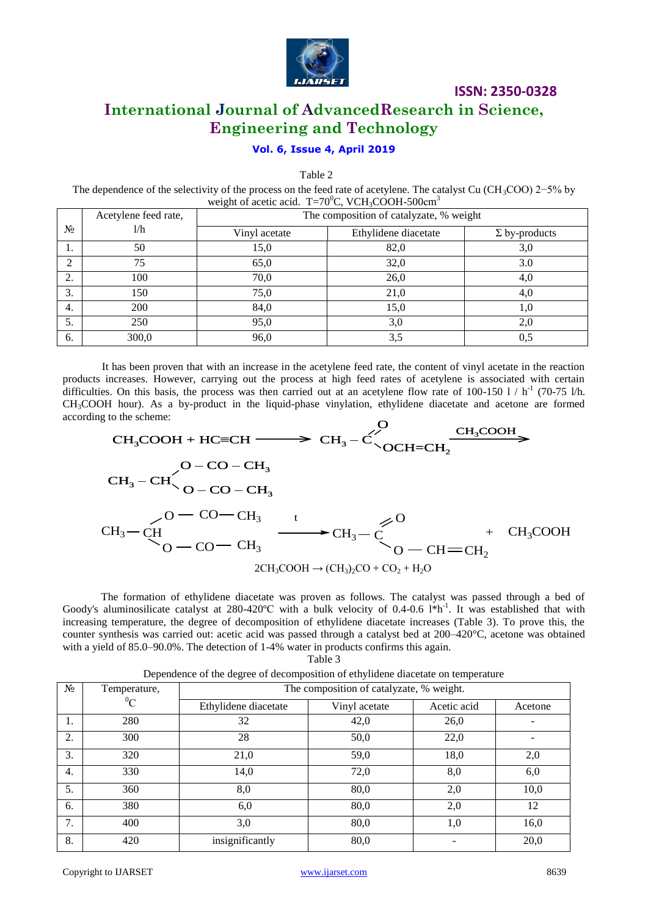

# **International Journal of AdvancedResearch in Science, Engineering and Technology**

# **Vol. 6, Issue 4, April 2019**

Table 2

The dependence of the selectivity of the process on the feed rate of acetylene. The catalyst Cu (CH<sub>3</sub>COO) 2−5% by weight of acetic acid. T=70 $\mathrm{^0C}$ , VCH<sub>3</sub>COOH-500cm<sup>3</sup>

|                | Acetylene feed rate, | The composition of catalyzate, % weight |                      |                      |  |  |
|----------------|----------------------|-----------------------------------------|----------------------|----------------------|--|--|
| N <sub>2</sub> | 1/h                  | Vinyl acetate                           | Ethylidene diacetate | $\Sigma$ by-products |  |  |
| 1.             | 50                   | 15,0                                    | 82,0                 | 3,0                  |  |  |
| 2              | 75                   | 65,0                                    | 32,0                 | 3.0                  |  |  |
| 2.             | 100                  | 70,0                                    | 26,0                 | 4,0                  |  |  |
| 3.             | 150                  | 75,0                                    | 21,0                 | 4,0                  |  |  |
| 4.             | 200                  | 84,0                                    | 15,0                 | 1,0                  |  |  |
| 5.             | 250                  | 95,0                                    | 3,0                  | 2,0                  |  |  |
| 6.             | 300,0                | 96,0                                    | 3,5                  | 0,5                  |  |  |

It has been proven that with an increase in the acetylene feed rate, the content of vinyl acetate in the reaction products increases. However, carrying out the process at high feed rates of acetylene is associated with certain difficulties. On this basis, the process was then carried out at an acetylene flow rate of 100-150  $1 / h^{-1}$  (70-75 l/h. CH3COOH hour). As a by-product in the liquid-phase vinylation, ethylidene diacetate and acetone are formed according to the scheme:  $\dot{\mathsf{O}}$ 

$$
CH_{3}COOH + HC=CH \longrightarrow CH_{3} - C \longrightarrow CH_{3} \longrightarrow CH_{3}COOH
$$
\n
$$
CH_{3} - CH \longrightarrow O - CO - CH_{3}
$$
\n
$$
CH_{3} - CH \longrightarrow O - CO - CH_{3}
$$
\n
$$
CH_{3} - CH \longrightarrow CH_{3} - C \longrightarrow CH_{3} - C \longrightarrow CH_{3}COOH
$$
\n
$$
CH_{3} - CH \longrightarrow CH_{3} \longrightarrow CH_{3} - C \longrightarrow CH = CH_{2}
$$
\n
$$
2CH_{3}COOH \rightarrow (CH_{3})_{2}CO + CO_{2} + H_{2}O
$$

The formation of ethylidene diacetate was proven as follows. The catalyst was passed through a bed of Goody's aluminosilicate catalyst at 280-420°C with a bulk velocity of 0.4-0.6 l\*h<sup>-1</sup>. It was established that with increasing temperature, the degree of decomposition of ethylidene diacetate increases (Table 3). To prove this, the counter synthesis was carried out: acetic acid was passed through a catalyst bed at 200–420°C, acetone was obtained with a yield of 85.0–90.0%. The detection of 1-4% water in products confirms this again. Table 3

| $N_2$ | Temperature, | The composition of catalyzate, % weight. |               |             |         |  |
|-------|--------------|------------------------------------------|---------------|-------------|---------|--|
|       | ${}^0C$      | Ethylidene diacetate                     | Vinyl acetate | Acetic acid | Acetone |  |
| 1.    | 280          | 32                                       | 42,0          | 26,0        |         |  |
| 2.    | 300          | 28                                       | 50,0          | 22,0        |         |  |
| 3.    | 320          | 21,0                                     | 59,0          | 18,0        | 2,0     |  |
| 4.    | 330          | 14,0                                     | 72,0          | 8,0         | 6,0     |  |
| 5.    | 360          | 8,0                                      | 80,0          | 2,0         | 10,0    |  |
| 6.    | 380          | 6,0                                      | 80,0          | 2,0         | 12      |  |
| 7.    | 400          | 3,0                                      | 80,0          | 1,0         | 16,0    |  |
| 8.    | 420          | insignificantly                          | 80,0          |             | 20,0    |  |

Dependence of the degree of decomposition of ethylidene diacetate on temperature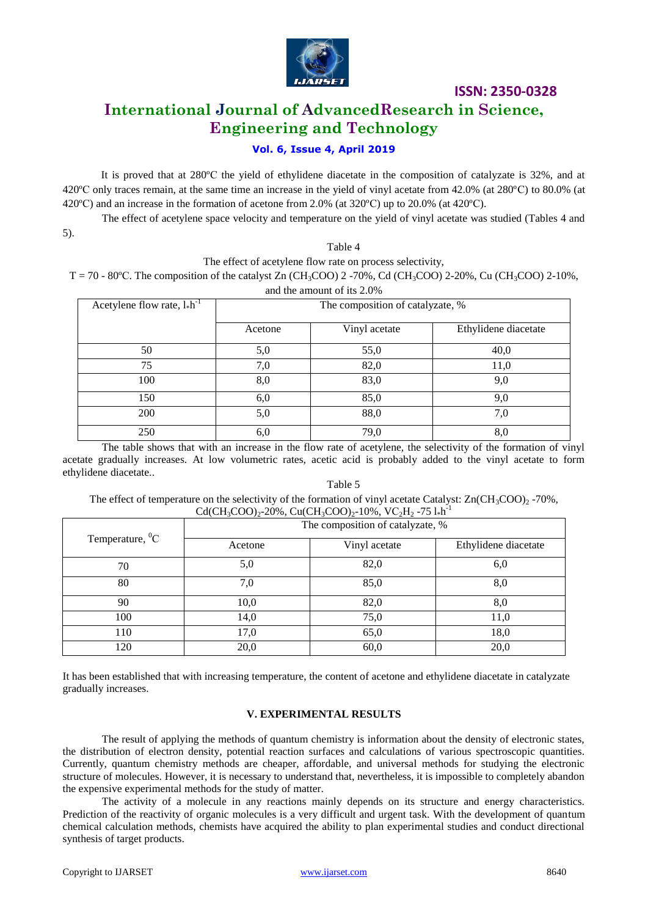

# **International Journal of AdvancedResearch in Science, Engineering and Technology**

# **Vol. 6, Issue 4, April 2019**

It is proved that at 280ºС the yield of ethylidene diacetate in the composition of catalyzate is 32%, and at 420ºС only traces remain, at the same time an increase in the yield of vinyl acetate from 42.0% (at 280ºС) to 80.0% (at 420 °C) and an increase in the formation of acetone from 2.0% (at  $320$  °C) up to 20.0% (at  $420$  °C).

The effect of acetylene space velocity and temperature on the yield of vinyl acetate was studied (Tables 4 and

5).

#### Table 4

The effect of acetylene flow rate on process selectivity,

T = 70 - 80°C. The composition of the catalyst Zn (CH<sub>3</sub>COO) 2 -70%, Cd (CH<sub>3</sub>COO) 2-20%, Cu (CH<sub>3</sub>COO) 2-10%,

| and the amount of its 2.0%            |                                  |               |                      |  |  |  |  |
|---------------------------------------|----------------------------------|---------------|----------------------|--|--|--|--|
| Acetylene flow rate, $l_{\ast}h^{-1}$ | The composition of catalyzate, % |               |                      |  |  |  |  |
|                                       | Acetone                          | Vinyl acetate | Ethylidene diacetate |  |  |  |  |
| 50                                    | 5,0                              | 55,0          | 40,0                 |  |  |  |  |
| 75                                    | 7,0                              | 82,0          | 11,0                 |  |  |  |  |
| 100                                   | 8,0                              | 83,0          | 9,0                  |  |  |  |  |
| 150                                   | 6,0                              | 85,0          | 9,0                  |  |  |  |  |
| <b>200</b>                            | 5,0                              | 88,0          | 7,0                  |  |  |  |  |
| 250                                   | 6,0                              | 79,0          | 8,0                  |  |  |  |  |

The table shows that with an increase in the flow rate of acetylene, the selectivity of the formation of vinyl acetate gradually increases. At low volumetric rates, acetic acid is probably added to the vinyl acetate to form ethylidene diacetate..

### Table 5 The effect of temperature on the selectivity of the formation of vinyl acetate Catalyst:  $Zn(CH_3COO)_2$  -70%,  $Cd(CH_3COO)_2$ -20%, Cu(CH<sub>3</sub>COO)<sub>2</sub>-10%, VC<sub>2</sub>H<sub>2</sub>-75 l\*h<sup>-1</sup>

|                        | $\sum_{i=1}^{n} \sum_{j=1}^{n} \sum_{j=1}^{n} \sum_{j=1}^{n} \sum_{j=1}^{n} \sum_{j=1}^{n} \sum_{j=1}^{n} \sum_{j=1}^{n} \sum_{j=1}^{n} \sum_{j=1}^{n} \sum_{j=1}^{n} \sum_{j=1}^{n} \sum_{j=1}^{n} \sum_{j=1}^{n} \sum_{j=1}^{n} \sum_{j=1}^{n} \sum_{j=1}^{n} \sum_{j=1}^{n} \sum_{j=1}^{n} \sum_{j=1}^{n} \sum_{j=1}^{n} \sum_{j=1}^{n}$<br>The composition of catalyzate, % |               |                      |  |  |
|------------------------|---------------------------------------------------------------------------------------------------------------------------------------------------------------------------------------------------------------------------------------------------------------------------------------------------------------------------------------------------------------------------------|---------------|----------------------|--|--|
| Temperature, ${}^{0}C$ | Acetone                                                                                                                                                                                                                                                                                                                                                                         | Vinyl acetate | Ethylidene diacetate |  |  |
| 70                     | 5,0                                                                                                                                                                                                                                                                                                                                                                             | 82,0          | 6,0                  |  |  |
| 80                     | 7,0                                                                                                                                                                                                                                                                                                                                                                             | 85,0          | 8,0                  |  |  |
| 90                     | 10,0                                                                                                                                                                                                                                                                                                                                                                            | 82,0          | 8,0                  |  |  |
| 100                    | 14,0                                                                                                                                                                                                                                                                                                                                                                            | 75,0          | 11,0                 |  |  |
| 110                    | 17,0                                                                                                                                                                                                                                                                                                                                                                            | 65,0          | 18,0                 |  |  |
| 120                    | 20,0                                                                                                                                                                                                                                                                                                                                                                            | 60,0          | 20,0                 |  |  |

It has been established that with increasing temperature, the content of acetone and ethylidene diacetate in catalyzate gradually increases.

### **V. EXPERIMENTAL RESULTS**

The result of applying the methods of quantum chemistry is information about the density of electronic states, the distribution of electron density, potential reaction surfaces and calculations of various spectroscopic quantities. Currently, quantum chemistry methods are cheaper, affordable, and universal methods for studying the electronic structure of molecules. However, it is necessary to understand that, nevertheless, it is impossible to completely abandon the expensive experimental methods for the study of matter.

The activity of a molecule in any reactions mainly depends on its structure and energy characteristics. Prediction of the reactivity of organic molecules is a very difficult and urgent task. With the development of quantum chemical calculation methods, chemists have acquired the ability to plan experimental studies and conduct directional synthesis of target products.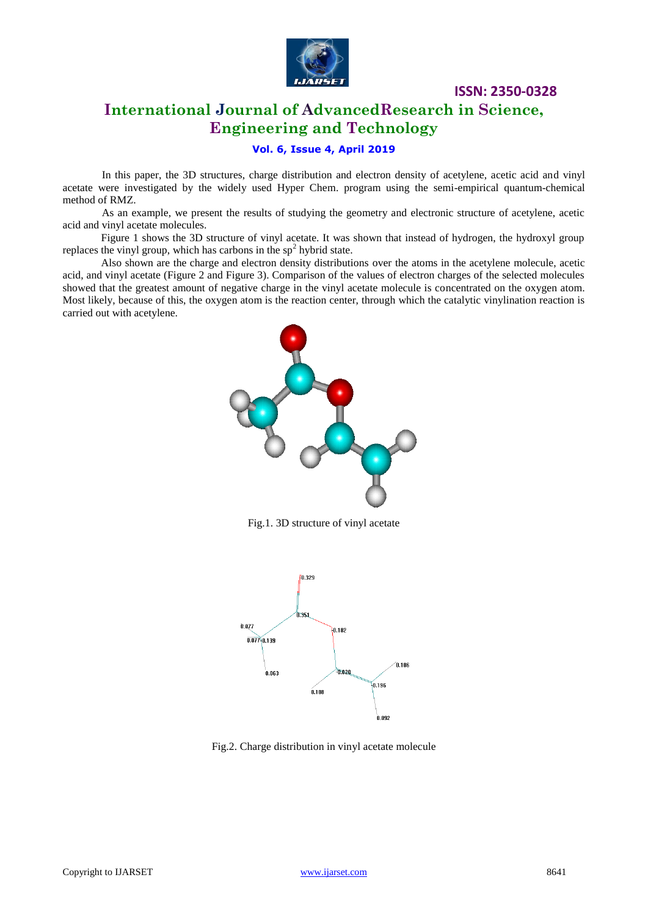

# **International Journal of AdvancedResearch in Science, Engineering and Technology**

### **Vol. 6, Issue 4, April 2019**

In this paper, the 3D structures, charge distribution and electron density of acetylene, acetic acid and vinyl acetate were investigated by the widely used Hyper Chem. program using the semi-empirical quantum-chemical method of RMZ.

As an example, we present the results of studying the geometry and electronic structure of acetylene, acetic acid and vinyl acetate molecules.

Figure 1 shows the 3D structure of vinyl acetate. It was shown that instead of hydrogen, the hydroxyl group replaces the vinyl group, which has carbons in the  $sp<sup>2</sup>$  hybrid state.

Also shown are the charge and electron density distributions over the atoms in the acetylene molecule, acetic acid, and vinyl acetate (Figure 2 and Figure 3). Comparison of the values of electron charges of the selected molecules showed that the greatest amount of negative charge in the vinyl acetate molecule is concentrated on the oxygen atom. Most likely, because of this, the oxygen atom is the reaction center, through which the catalytic vinylination reaction is carried out with acetylene.



Fig.1. 3D structure of vinyl acetate



Fig.2. Charge distribution in vinyl acetate molecule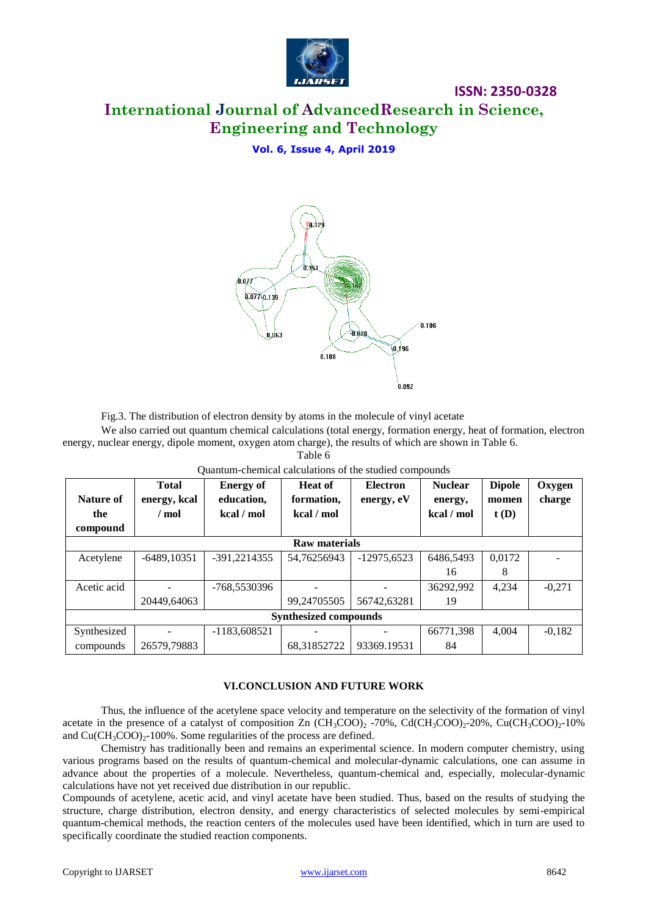

# **International Journal of AdvancedResearch in Science, Engineering and Technology**

# **Vol. 6, Issue 4, April 2019**



Fig.3. The distribution of electron density by atoms in the molecule of vinyl acetate

We also carried out quantum chemical calculations (total energy, formation energy, heat of formation, electron energy, nuclear energy, dipole moment, oxygen atom charge), the results of which are shown in Table 6.

Table 6

| Nature of<br>the<br>compound | <b>Total</b><br>energy, kcal<br>/ mol | <b>Energy of</b><br>education,<br>kcal / mol | <b>Heat of</b><br>formation,<br>kcal / mol | <b>Electron</b><br>energy, eV | <b>Nuclear</b><br>energy,<br>kcal / mol | <b>Dipole</b><br>momen<br>t(D) | Oxygen<br>charge |  |  |
|------------------------------|---------------------------------------|----------------------------------------------|--------------------------------------------|-------------------------------|-----------------------------------------|--------------------------------|------------------|--|--|
|                              | Raw materials                         |                                              |                                            |                               |                                         |                                |                  |  |  |
| Acetylene                    | $-6489, 10351$                        | $-391,2214355$                               | 54,76256943                                | $-12975.6523$                 | 6486,5493                               | 0,0172                         |                  |  |  |
|                              |                                       |                                              |                                            |                               | 16                                      | 8                              |                  |  |  |
| Acetic acid                  |                                       | -768,5530396                                 |                                            |                               | 36292,992                               | 4,234                          | $-0,271$         |  |  |
|                              | 20449,64063                           |                                              | 99,24705505                                | 56742,63281                   | 19                                      |                                |                  |  |  |
| <b>Synthesized compounds</b> |                                       |                                              |                                            |                               |                                         |                                |                  |  |  |
| Synthesized                  |                                       | $-1183,608521$                               |                                            |                               | 66771,398                               | 4.004                          | $-0,182$         |  |  |
| compounds                    | 26579,79883                           |                                              | 68,31852722                                | 93369.19531                   | 84                                      |                                |                  |  |  |

Quantum-chemical calculations of the studied compounds

## **VI.CONCLUSION AND FUTURE WORK**

Thus, the influence of the acetylene space velocity and temperature on the selectivity of the formation of vinyl acetate in the presence of a catalyst of composition Zn  $(CH_3COO)$ , -70%, Cd(CH<sub>3</sub>COO)<sub>2</sub>-20%, Cu(CH<sub>3</sub>COO)<sub>2</sub>-10% and  $Cu(CH_3COO)_{2}$ -100%. Some regularities of the process are defined.

Chemistry has traditionally been and remains an experimental science. In modern computer chemistry, using various programs based on the results of quantum-chemical and molecular-dynamic calculations, one can assume in advance about the properties of a molecule. Nevertheless, quantum-chemical and, especially, molecular-dynamic calculations have not yet received due distribution in our republic.

Compounds of acetylene, acetic acid, and vinyl acetate have been studied. Thus, based on the results of studying the structure, charge distribution, electron density, and energy characteristics of selected molecules by semi-empirical quantum-chemical methods, the reaction centers of the molecules used have been identified, which in turn are used to specifically coordinate the studied reaction components.